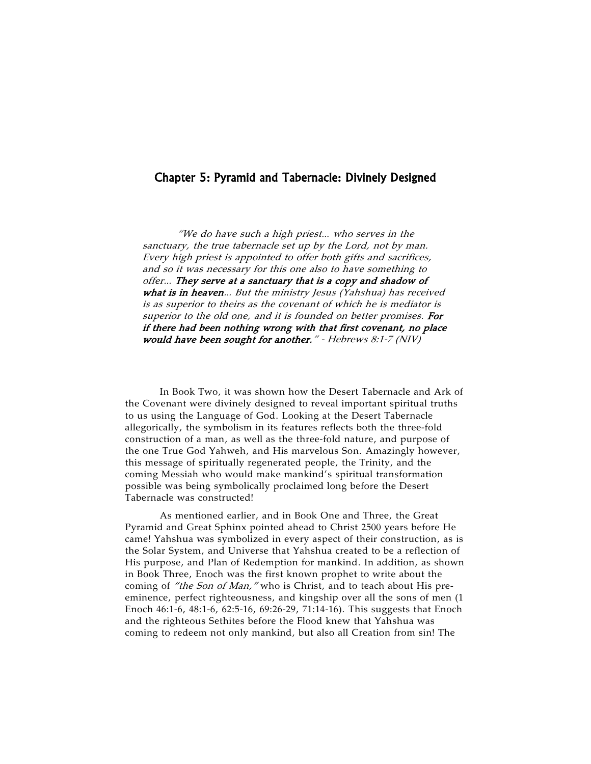## Chapter 5: Pyramid and Tabernacle: Divinely Designed

"We do have such a high priest… who serves in the sanctuary, the true tabernacle set up by the Lord, not by man. Every high priest is appointed to offer both gifts and sacrifices, and so it was necessary for this one also to have something to offer… They serve at a sanctuary that is a copy and shadow of what is in heaven... But the ministry Jesus (Yahshua) has received is as superior to theirs as the covenant of which he is mediator is superior to the old one, and it is founded on better promises. For if there had been nothing wrong with that first covenant, no place would have been sought for another." - Hebrews 8:1-7 (NIV)

In Book Two, it was shown how the Desert Tabernacle and Ark of the Covenant were divinely designed to reveal important spiritual truths to us using the Language of God. Looking at the Desert Tabernacle allegorically, the symbolism in its features reflects both the three-fold construction of a man, as well as the three-fold nature, and purpose of the one True God Yahweh, and His marvelous Son. Amazingly however, this message of spiritually regenerated people, the Trinity, and the coming Messiah who would make mankind's spiritual transformation possible was being symbolically proclaimed long before the Desert Tabernacle was constructed!

As mentioned earlier, and in Book One and Three, the Great Pyramid and Great Sphinx pointed ahead to Christ 2500 years before He came! Yahshua was symbolized in every aspect of their construction, as is the Solar System, and Universe that Yahshua created to be a reflection of His purpose, and Plan of Redemption for mankind. In addition, as shown in Book Three, Enoch was the first known prophet to write about the coming of "the Son of Man," who is Christ, and to teach about His preeminence, perfect righteousness, and kingship over all the sons of men (1 Enoch 46:1-6, 48:1-6, 62:5-16, 69:26-29, 71:14-16). This suggests that Enoch and the righteous Sethites before the Flood knew that Yahshua was coming to redeem not only mankind, but also all Creation from sin! The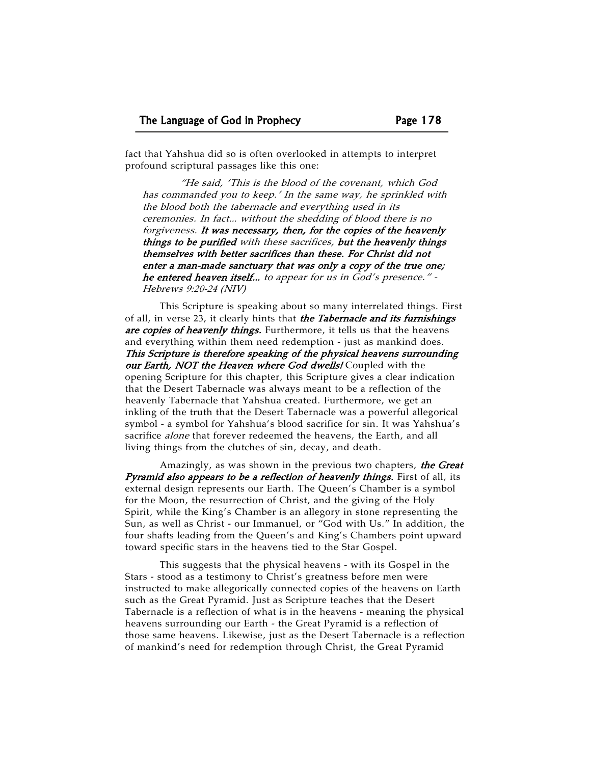fact that Yahshua did so is often overlooked in attempts to interpret profound scriptural passages like this one:

 "He said, 'This is the blood of the covenant, which God has commanded you to keep.' In the same way, he sprinkled with the blood both the tabernacle and everything used in its ceremonies. In fact… without the shedding of blood there is no forgiveness. It was necessary, then, for the copies of the heavenly things to be purified with these sacrifices, but the heavenly things themselves with better sacrifices than these. For Christ did not enter a man-made sanctuary that was only a copy of the true one; he entered heaven itself… to appear for us in God's presence." - Hebrews 9:20-24 (NIV)

This Scripture is speaking about so many interrelated things. First of all, in verse 23, it clearly hints that *the Tabernacle and its furnishings* are copies of heavenly things. Furthermore, it tells us that the heavens and everything within them need redemption - just as mankind does. This Scripture is therefore speaking of the physical heavens surrounding our Earth, NOT the Heaven where God dwells! Coupled with the opening Scripture for this chapter, this Scripture gives a clear indication that the Desert Tabernacle was always meant to be a reflection of the heavenly Tabernacle that Yahshua created. Furthermore, we get an inkling of the truth that the Desert Tabernacle was a powerful allegorical symbol - a symbol for Yahshua's blood sacrifice for sin. It was Yahshua's sacrifice *alone* that forever redeemed the heavens, the Earth, and all living things from the clutches of sin, decay, and death.

Amazingly, as was shown in the previous two chapters, the Great Pyramid also appears to be a reflection of heavenly things. First of all, its external design represents our Earth. The Queen's Chamber is a symbol for the Moon, the resurrection of Christ, and the giving of the Holy Spirit, while the King's Chamber is an allegory in stone representing the Sun, as well as Christ - our Immanuel, or "God with Us." In addition, the four shafts leading from the Queen's and King's Chambers point upward toward specific stars in the heavens tied to the Star Gospel.

This suggests that the physical heavens - with its Gospel in the Stars - stood as a testimony to Christ's greatness before men were instructed to make allegorically connected copies of the heavens on Earth such as the Great Pyramid. Just as Scripture teaches that the Desert Tabernacle is a reflection of what is in the heavens - meaning the physical heavens surrounding our Earth - the Great Pyramid is a reflection of those same heavens. Likewise, just as the Desert Tabernacle is a reflection of mankind's need for redemption through Christ, the Great Pyramid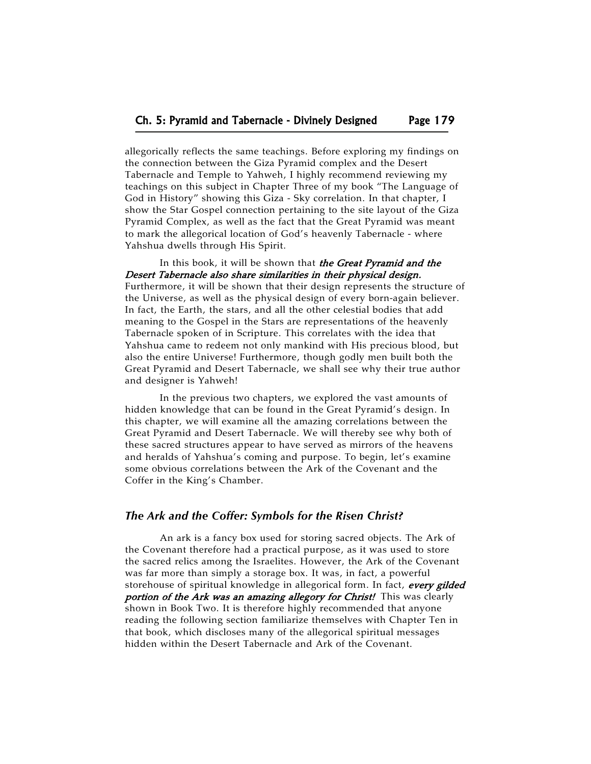allegorically reflects the same teachings. Before exploring my findings on the connection between the Giza Pyramid complex and the Desert Tabernacle and Temple to Yahweh, I highly recommend reviewing my teachings on this subject in Chapter Three of my book "The Language of God in History" showing this Giza - Sky correlation. In that chapter, I show the Star Gospel connection pertaining to the site layout of the Giza Pyramid Complex, as well as the fact that the Great Pyramid was meant to mark the allegorical location of God's heavenly Tabernacle - where Yahshua dwells through His Spirit.

In this book, it will be shown that the Great Pyramid and the Desert Tabernacle also share similarities in their physical design. Furthermore, it will be shown that their design represents the structure of the Universe, as well as the physical design of every born-again believer. In fact, the Earth, the stars, and all the other celestial bodies that add meaning to the Gospel in the Stars are representations of the heavenly Tabernacle spoken of in Scripture. This correlates with the idea that Yahshua came to redeem not only mankind with His precious blood, but also the entire Universe! Furthermore, though godly men built both the Great Pyramid and Desert Tabernacle, we shall see why their true author and designer is Yahweh!

In the previous two chapters, we explored the vast amounts of hidden knowledge that can be found in the Great Pyramid's design. In this chapter, we will examine all the amazing correlations between the Great Pyramid and Desert Tabernacle. We will thereby see why both of these sacred structures appear to have served as mirrors of the heavens and heralds of Yahshua's coming and purpose. To begin, let's examine some obvious correlations between the Ark of the Covenant and the Coffer in the King's Chamber.

## *The Ark and the Coffer: Symbols for the Risen Christ?*

An ark is a fancy box used for storing sacred objects. The Ark of the Covenant therefore had a practical purpose, as it was used to store the sacred relics among the Israelites. However, the Ark of the Covenant was far more than simply a storage box. It was, in fact, a powerful storehouse of spiritual knowledge in allegorical form. In fact, every gilded portion of the Ark was an amazing allegory for Christ! This was clearly shown in Book Two. It is therefore highly recommended that anyone reading the following section familiarize themselves with Chapter Ten in that book, which discloses many of the allegorical spiritual messages hidden within the Desert Tabernacle and Ark of the Covenant.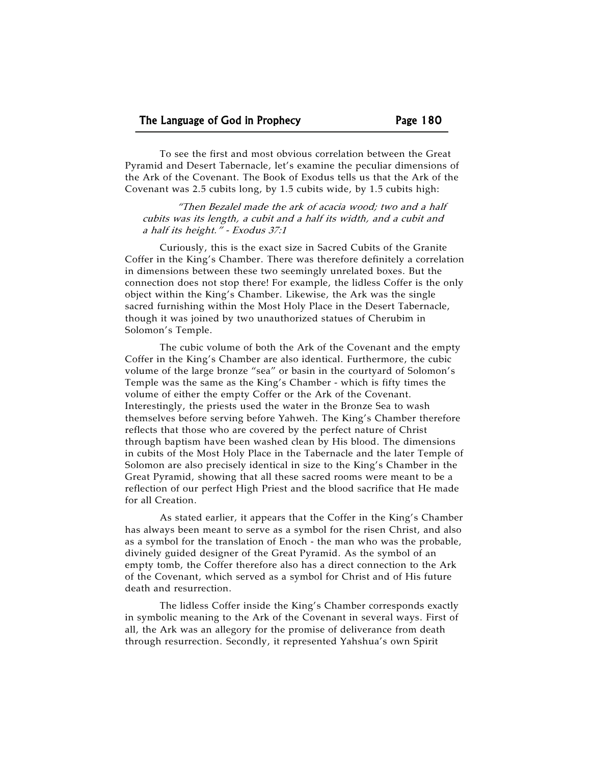To see the first and most obvious correlation between the Great Pyramid and Desert Tabernacle, let's examine the peculiar dimensions of the Ark of the Covenant. The Book of Exodus tells us that the Ark of the Covenant was 2.5 cubits long, by 1.5 cubits wide, by 1.5 cubits high:

"Then Bezalel made the ark of acacia wood; two and a half cubits was its length, a cubit and a half its width, and a cubit and a half its height." - Exodus 37:1

Curiously, this is the exact size in Sacred Cubits of the Granite Coffer in the King's Chamber. There was therefore definitely a correlation in dimensions between these two seemingly unrelated boxes. But the connection does not stop there! For example, the lidless Coffer is the only object within the King's Chamber. Likewise, the Ark was the single sacred furnishing within the Most Holy Place in the Desert Tabernacle, though it was joined by two unauthorized statues of Cherubim in Solomon's Temple.

The cubic volume of both the Ark of the Covenant and the empty Coffer in the King's Chamber are also identical. Furthermore, the cubic volume of the large bronze "sea" or basin in the courtyard of Solomon's Temple was the same as the King's Chamber - which is fifty times the volume of either the empty Coffer or the Ark of the Covenant. Interestingly, the priests used the water in the Bronze Sea to wash themselves before serving before Yahweh. The King's Chamber therefore reflects that those who are covered by the perfect nature of Christ through baptism have been washed clean by His blood. The dimensions in cubits of the Most Holy Place in the Tabernacle and the later Temple of Solomon are also precisely identical in size to the King's Chamber in the Great Pyramid, showing that all these sacred rooms were meant to be a reflection of our perfect High Priest and the blood sacrifice that He made for all Creation.

As stated earlier, it appears that the Coffer in the King's Chamber has always been meant to serve as a symbol for the risen Christ, and also as a symbol for the translation of Enoch - the man who was the probable, divinely guided designer of the Great Pyramid. As the symbol of an empty tomb, the Coffer therefore also has a direct connection to the Ark of the Covenant, which served as a symbol for Christ and of His future death and resurrection.

The lidless Coffer inside the King's Chamber corresponds exactly in symbolic meaning to the Ark of the Covenant in several ways. First of all, the Ark was an allegory for the promise of deliverance from death through resurrection. Secondly, it represented Yahshua's own Spirit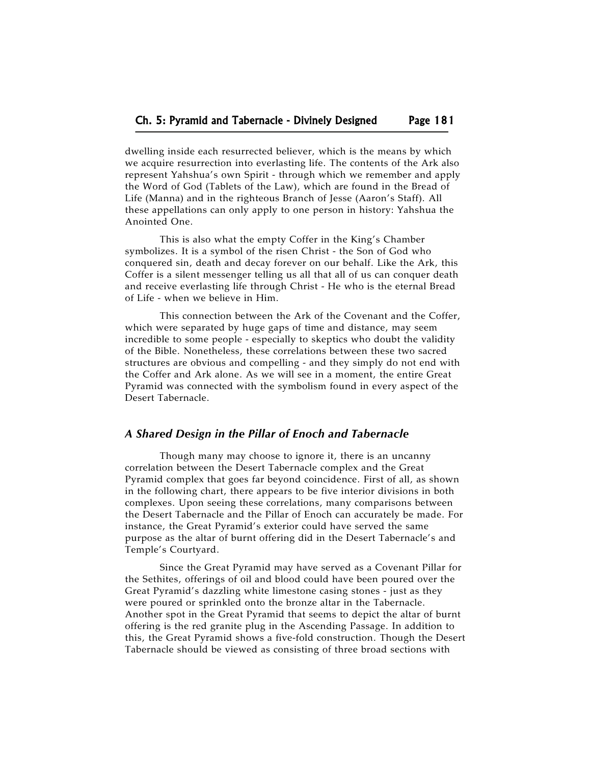dwelling inside each resurrected believer, which is the means by which we acquire resurrection into everlasting life. The contents of the Ark also represent Yahshua's own Spirit - through which we remember and apply the Word of God (Tablets of the Law), which are found in the Bread of Life (Manna) and in the righteous Branch of Jesse (Aaron's Staff). All these appellations can only apply to one person in history: Yahshua the Anointed One.

This is also what the empty Coffer in the King's Chamber symbolizes. It is a symbol of the risen Christ - the Son of God who conquered sin, death and decay forever on our behalf. Like the Ark, this Coffer is a silent messenger telling us all that all of us can conquer death and receive everlasting life through Christ - He who is the eternal Bread of Life - when we believe in Him.

This connection between the Ark of the Covenant and the Coffer, which were separated by huge gaps of time and distance, may seem incredible to some people - especially to skeptics who doubt the validity of the Bible. Nonetheless, these correlations between these two sacred structures are obvious and compelling - and they simply do not end with the Coffer and Ark alone. As we will see in a moment, the entire Great Pyramid was connected with the symbolism found in every aspect of the Desert Tabernacle.

#### *A Shared Design in the Pillar of Enoch and Tabernacle*

Though many may choose to ignore it, there is an uncanny correlation between the Desert Tabernacle complex and the Great Pyramid complex that goes far beyond coincidence. First of all, as shown in the following chart, there appears to be five interior divisions in both complexes. Upon seeing these correlations, many comparisons between the Desert Tabernacle and the Pillar of Enoch can accurately be made. For instance, the Great Pyramid's exterior could have served the same purpose as the altar of burnt offering did in the Desert Tabernacle's and Temple's Courtyard.

Since the Great Pyramid may have served as a Covenant Pillar for the Sethites, offerings of oil and blood could have been poured over the Great Pyramid's dazzling white limestone casing stones - just as they were poured or sprinkled onto the bronze altar in the Tabernacle. Another spot in the Great Pyramid that seems to depict the altar of burnt offering is the red granite plug in the Ascending Passage. In addition to this, the Great Pyramid shows a five-fold construction. Though the Desert Tabernacle should be viewed as consisting of three broad sections with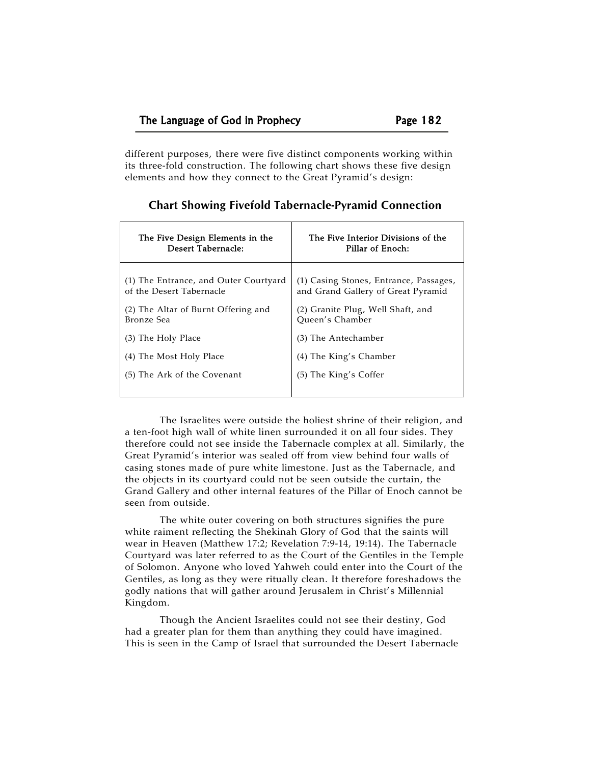different purposes, there were five distinct components working within its three-fold construction. The following chart shows these five design elements and how they connect to the Great Pyramid's design:

| The Five Design Elements in the       | The Five Interior Divisions of the     |  |  |
|---------------------------------------|----------------------------------------|--|--|
| Desert Tabernacle:                    | Pillar of Enoch:                       |  |  |
| (1) The Entrance, and Outer Courtyard | (1) Casing Stones, Entrance, Passages, |  |  |
| of the Desert Tabernacle              | and Grand Gallery of Great Pyramid     |  |  |
| (2) The Altar of Burnt Offering and   | (2) Granite Plug, Well Shaft, and      |  |  |
| Bronze Sea                            | Oueen's Chamber                        |  |  |
| (3) The Holy Place                    | (3) The Antechamber                    |  |  |
| (4) The Most Holy Place               | (4) The King's Chamber                 |  |  |
| (5) The Ark of the Covenant           | (5) The King's Coffer                  |  |  |

| <b>Chart Showing Fivefold Tabernacle-Pyramid Connection</b> |  |  |  |  |
|-------------------------------------------------------------|--|--|--|--|
|-------------------------------------------------------------|--|--|--|--|

The Israelites were outside the holiest shrine of their religion, and a ten-foot high wall of white linen surrounded it on all four sides. They therefore could not see inside the Tabernacle complex at all. Similarly, the Great Pyramid's interior was sealed off from view behind four walls of casing stones made of pure white limestone. Just as the Tabernacle, and the objects in its courtyard could not be seen outside the curtain, the Grand Gallery and other internal features of the Pillar of Enoch cannot be seen from outside.

The white outer covering on both structures signifies the pure white raiment reflecting the Shekinah Glory of God that the saints will wear in Heaven (Matthew 17:2; Revelation 7:9-14, 19:14). The Tabernacle Courtyard was later referred to as the Court of the Gentiles in the Temple of Solomon. Anyone who loved Yahweh could enter into the Court of the Gentiles, as long as they were ritually clean. It therefore foreshadows the godly nations that will gather around Jerusalem in Christ's Millennial Kingdom.

Though the Ancient Israelites could not see their destiny, God had a greater plan for them than anything they could have imagined. This is seen in the Camp of Israel that surrounded the Desert Tabernacle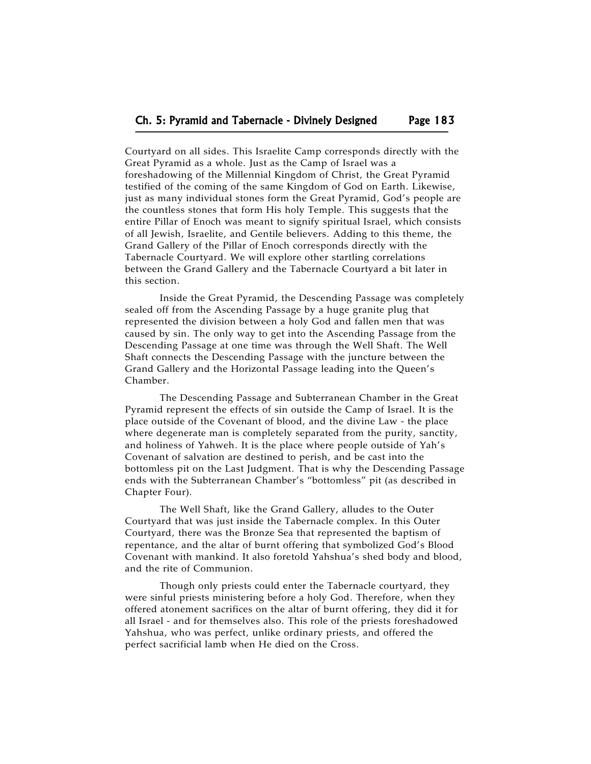Courtyard on all sides. This Israelite Camp corresponds directly with the Great Pyramid as a whole. Just as the Camp of Israel was a foreshadowing of the Millennial Kingdom of Christ, the Great Pyramid testified of the coming of the same Kingdom of God on Earth. Likewise, just as many individual stones form the Great Pyramid, God's people are the countless stones that form His holy Temple. This suggests that the entire Pillar of Enoch was meant to signify spiritual Israel, which consists of all Jewish, Israelite, and Gentile believers. Adding to this theme, the Grand Gallery of the Pillar of Enoch corresponds directly with the Tabernacle Courtyard. We will explore other startling correlations between the Grand Gallery and the Tabernacle Courtyard a bit later in this section.

Inside the Great Pyramid, the Descending Passage was completely sealed off from the Ascending Passage by a huge granite plug that represented the division between a holy God and fallen men that was caused by sin. The only way to get into the Ascending Passage from the Descending Passage at one time was through the Well Shaft. The Well Shaft connects the Descending Passage with the juncture between the Grand Gallery and the Horizontal Passage leading into the Queen's Chamber.

The Descending Passage and Subterranean Chamber in the Great Pyramid represent the effects of sin outside the Camp of Israel. It is the place outside of the Covenant of blood, and the divine Law - the place where degenerate man is completely separated from the purity, sanctity, and holiness of Yahweh. It is the place where people outside of Yah's Covenant of salvation are destined to perish, and be cast into the bottomless pit on the Last Judgment. That is why the Descending Passage ends with the Subterranean Chamber's "bottomless" pit (as described in Chapter Four).

The Well Shaft, like the Grand Gallery, alludes to the Outer Courtyard that was just inside the Tabernacle complex. In this Outer Courtyard, there was the Bronze Sea that represented the baptism of repentance, and the altar of burnt offering that symbolized God's Blood Covenant with mankind. It also foretold Yahshua's shed body and blood, and the rite of Communion.

Though only priests could enter the Tabernacle courtyard, they were sinful priests ministering before a holy God. Therefore, when they offered atonement sacrifices on the altar of burnt offering, they did it for all Israel - and for themselves also. This role of the priests foreshadowed Yahshua, who was perfect, unlike ordinary priests, and offered the perfect sacrificial lamb when He died on the Cross.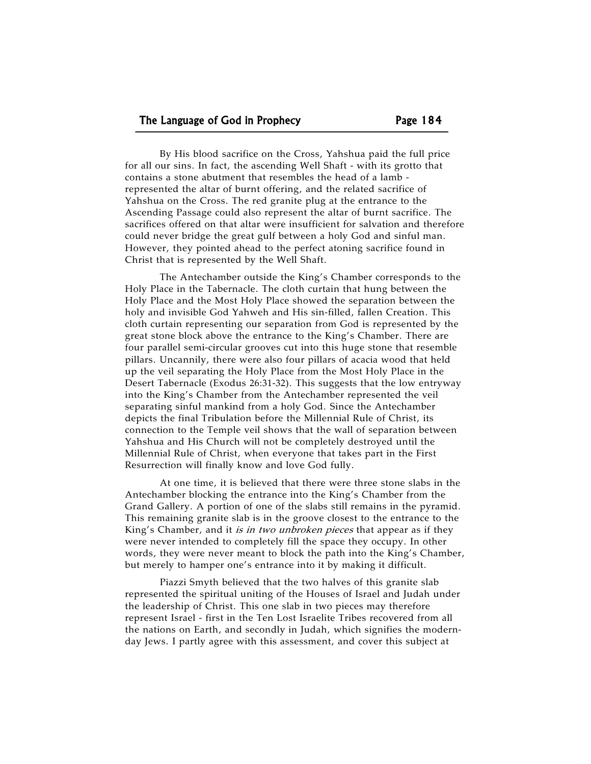By His blood sacrifice on the Cross, Yahshua paid the full price for all our sins. In fact, the ascending Well Shaft - with its grotto that contains a stone abutment that resembles the head of a lamb represented the altar of burnt offering, and the related sacrifice of Yahshua on the Cross. The red granite plug at the entrance to the Ascending Passage could also represent the altar of burnt sacrifice. The sacrifices offered on that altar were insufficient for salvation and therefore could never bridge the great gulf between a holy God and sinful man. However, they pointed ahead to the perfect atoning sacrifice found in Christ that is represented by the Well Shaft.

The Antechamber outside the King's Chamber corresponds to the Holy Place in the Tabernacle. The cloth curtain that hung between the Holy Place and the Most Holy Place showed the separation between the holy and invisible God Yahweh and His sin-filled, fallen Creation. This cloth curtain representing our separation from God is represented by the great stone block above the entrance to the King's Chamber. There are four parallel semi-circular grooves cut into this huge stone that resemble pillars. Uncannily, there were also four pillars of acacia wood that held up the veil separating the Holy Place from the Most Holy Place in the Desert Tabernacle (Exodus 26:31-32). This suggests that the low entryway into the King's Chamber from the Antechamber represented the veil separating sinful mankind from a holy God. Since the Antechamber depicts the final Tribulation before the Millennial Rule of Christ, its connection to the Temple veil shows that the wall of separation between Yahshua and His Church will not be completely destroyed until the Millennial Rule of Christ, when everyone that takes part in the First Resurrection will finally know and love God fully.

At one time, it is believed that there were three stone slabs in the Antechamber blocking the entrance into the King's Chamber from the Grand Gallery. A portion of one of the slabs still remains in the pyramid. This remaining granite slab is in the groove closest to the entrance to the King's Chamber, and it *is in two unbroken pieces* that appear as if they were never intended to completely fill the space they occupy. In other words, they were never meant to block the path into the King's Chamber, but merely to hamper one's entrance into it by making it difficult.

Piazzi Smyth believed that the two halves of this granite slab represented the spiritual uniting of the Houses of Israel and Judah under the leadership of Christ. This one slab in two pieces may therefore represent Israel - first in the Ten Lost Israelite Tribes recovered from all the nations on Earth, and secondly in Judah, which signifies the modernday Jews. I partly agree with this assessment, and cover this subject at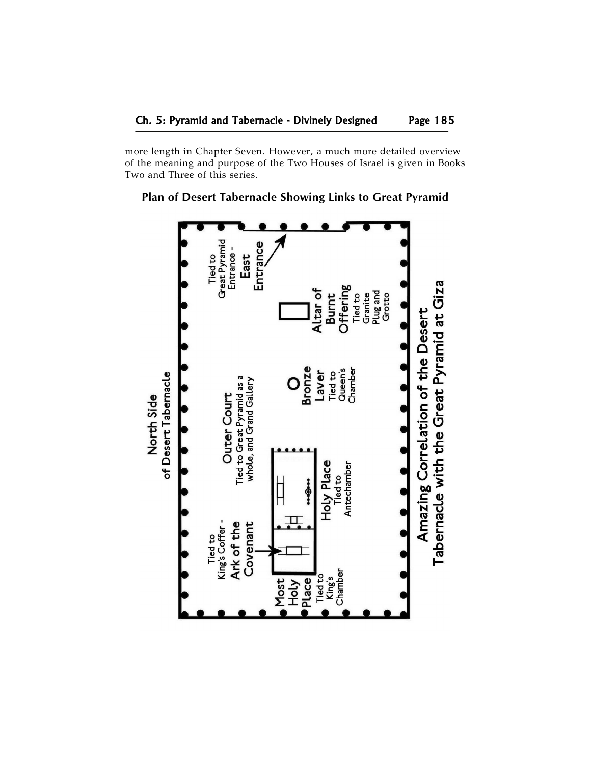more length in Chapter Seven. However, a much more detailed overview of the meaning and purpose of the Two Houses of Israel is given in Books Two and Three of this series.



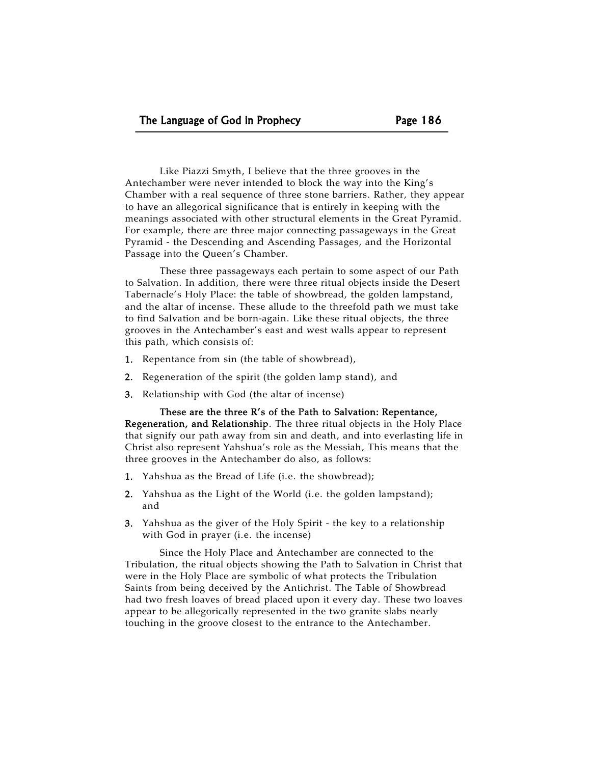Like Piazzi Smyth, I believe that the three grooves in the Antechamber were never intended to block the way into the King's Chamber with a real sequence of three stone barriers. Rather, they appear to have an allegorical significance that is entirely in keeping with the meanings associated with other structural elements in the Great Pyramid. For example, there are three major connecting passageways in the Great Pyramid - the Descending and Ascending Passages, and the Horizontal Passage into the Queen's Chamber.

These three passageways each pertain to some aspect of our Path to Salvation. In addition, there were three ritual objects inside the Desert Tabernacle's Holy Place: the table of showbread, the golden lampstand, and the altar of incense. These allude to the threefold path we must take to find Salvation and be born-again. Like these ritual objects, the three grooves in the Antechamber's east and west walls appear to represent this path, which consists of:

- 1. Repentance from sin (the table of showbread),
- 2. Regeneration of the spirit (the golden lamp stand), and
- 3. Relationship with God (the altar of incense)

These are the three R's of the Path to Salvation: Repentance, Regeneration, and Relationship. The three ritual objects in the Holy Place that signify our path away from sin and death, and into everlasting life in Christ also represent Yahshua's role as the Messiah, This means that the three grooves in the Antechamber do also, as follows:

- 1. Yahshua as the Bread of Life (i.e. the showbread);
- 2. Yahshua as the Light of the World (i.e. the golden lampstand); and
- 3. Yahshua as the giver of the Holy Spirit the key to a relationship with God in prayer (i.e. the incense)

Since the Holy Place and Antechamber are connected to the Tribulation, the ritual objects showing the Path to Salvation in Christ that were in the Holy Place are symbolic of what protects the Tribulation Saints from being deceived by the Antichrist. The Table of Showbread had two fresh loaves of bread placed upon it every day. These two loaves appear to be allegorically represented in the two granite slabs nearly touching in the groove closest to the entrance to the Antechamber.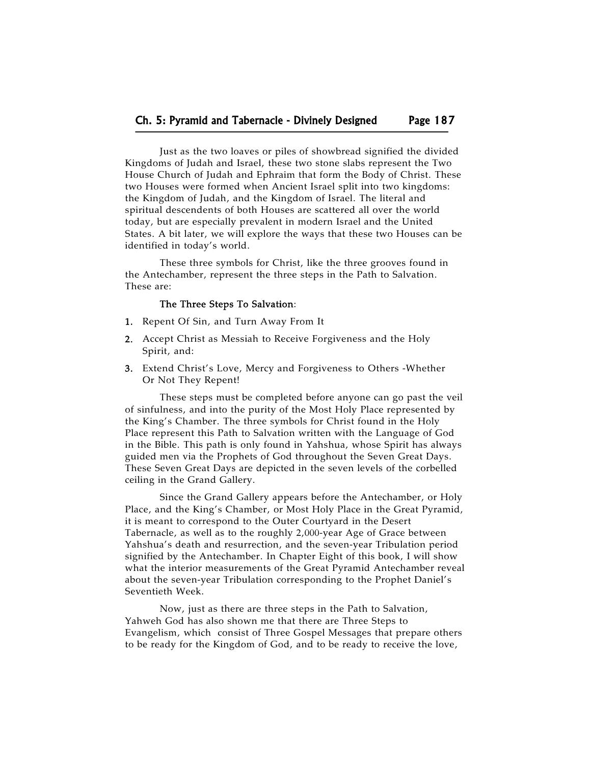Just as the two loaves or piles of showbread signified the divided Kingdoms of Judah and Israel, these two stone slabs represent the Two House Church of Judah and Ephraim that form the Body of Christ. These two Houses were formed when Ancient Israel split into two kingdoms: the Kingdom of Judah, and the Kingdom of Israel. The literal and spiritual descendents of both Houses are scattered all over the world today, but are especially prevalent in modern Israel and the United States. A bit later, we will explore the ways that these two Houses can be identified in today's world.

These three symbols for Christ, like the three grooves found in the Antechamber, represent the three steps in the Path to Salvation. These are:

# The Three Steps To Salvation:

- 1. Repent Of Sin, and Turn Away From It
- 2. Accept Christ as Messiah to Receive Forgiveness and the Holy Spirit, and:
- 3. Extend Christ's Love, Mercy and Forgiveness to Others -Whether Or Not They Repent!

These steps must be completed before anyone can go past the veil of sinfulness, and into the purity of the Most Holy Place represented by the King's Chamber. The three symbols for Christ found in the Holy Place represent this Path to Salvation written with the Language of God in the Bible. This path is only found in Yahshua, whose Spirit has always guided men via the Prophets of God throughout the Seven Great Days. These Seven Great Days are depicted in the seven levels of the corbelled ceiling in the Grand Gallery.

Since the Grand Gallery appears before the Antechamber, or Holy Place, and the King's Chamber, or Most Holy Place in the Great Pyramid, it is meant to correspond to the Outer Courtyard in the Desert Tabernacle, as well as to the roughly 2,000-year Age of Grace between Yahshua's death and resurrection, and the seven-year Tribulation period signified by the Antechamber. In Chapter Eight of this book, I will show what the interior measurements of the Great Pyramid Antechamber reveal about the seven-year Tribulation corresponding to the Prophet Daniel's Seventieth Week.

Now, just as there are three steps in the Path to Salvation, Yahweh God has also shown me that there are Three Steps to Evangelism, which consist of Three Gospel Messages that prepare others to be ready for the Kingdom of God, and to be ready to receive the love,